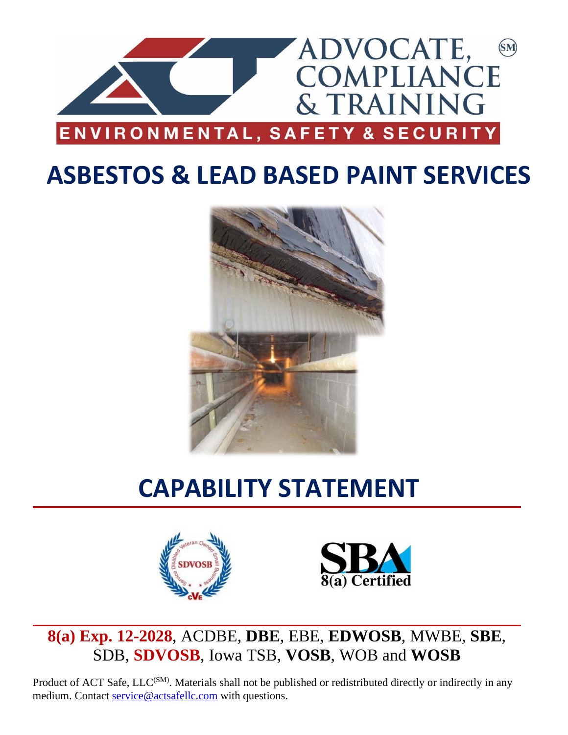

# **ASBESTOS & LEAD BASED PAINT SERVICES**



# **CAPABILITY STATEMENT**





**8(a) Exp. 12-2028**, ACDBE, **DBE**, EBE, **EDWOSB**, MWBE, **SBE**, SDB, **SDVOSB**, Iowa TSB, **VOSB**, WOB and **WOSB**

Product of ACT Safe, LLC<sup>(SM)</sup>. Materials shall not be published or redistributed directly or indirectly in any medium. Contact [service@actsafellc.com](mailto:service@actsafellc.com) with questions.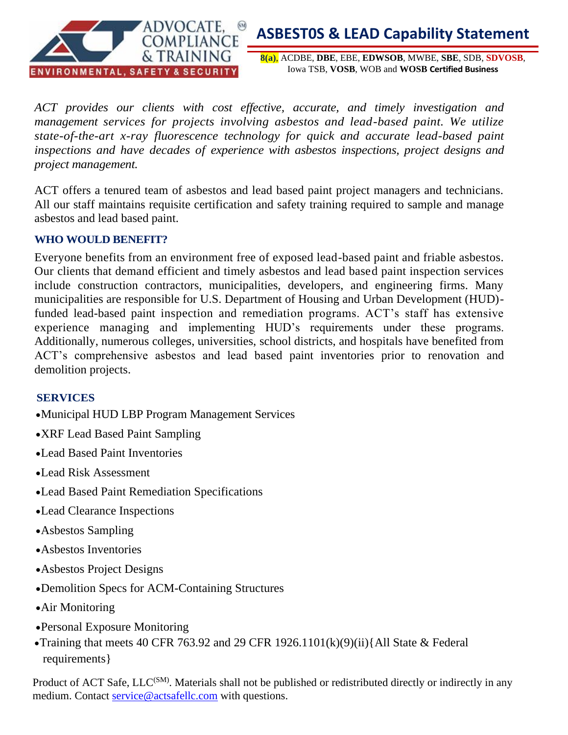

**8(a)**, ACDBE, **DBE**, EBE, **EDWSOB**, MWBE, **SBE**, SDB, **SDVOSB**, Iowa TSB, **VOSB**, WOB and **WOSB Certified Business**

*ACT provides our clients with cost effective, accurate, and timely investigation and management services for projects involving asbestos and lead-based paint. We utilize state-of-the-art x-ray fluorescence technology for quick and accurate lead-based paint inspections and have decades of experience with asbestos inspections, project designs and project management.*

ACT offers a tenured team of asbestos and lead based paint project managers and technicians. All our staff maintains requisite certification and safety training required to sample and manage asbestos and lead based paint.

### **WHO WOULD BENEFIT?**

Everyone benefits from an environment free of exposed lead-based paint and friable asbestos. Our clients that demand efficient and timely asbestos and lead based paint inspection services include construction contractors, municipalities, developers, and engineering firms. Many municipalities are responsible for U.S. Department of Housing and Urban Development (HUD) funded lead-based paint inspection and remediation programs. ACT's staff has extensive experience managing and implementing HUD's requirements under these programs. Additionally, numerous colleges, universities, school districts, and hospitals have benefited from ACT's comprehensive asbestos and lead based paint inventories prior to renovation and demolition projects.

### **SERVICES**

- •Municipal HUD LBP Program Management Services
- •XRF Lead Based Paint Sampling
- •Lead Based Paint Inventories
- •Lead Risk Assessment
- •Lead Based Paint Remediation Specifications
- •Lead Clearance Inspections
- •Asbestos Sampling
- •Asbestos Inventories
- •Asbestos Project Designs
- •Demolition Specs for ACM-Containing Structures
- •Air Monitoring
- •Personal Exposure Monitoring
- •Training that meets 40 CFR 763.92 and 29 CFR 1926.1101(k)(9)(ii){All State  $&$  Federal requirements}

Product of ACT Safe, LLC<sup>(SM)</sup>. Materials shall not be published or redistributed directly or indirectly in any medium. Contact [service@actsafellc.com](mailto:service@actsafellc.com) with questions.